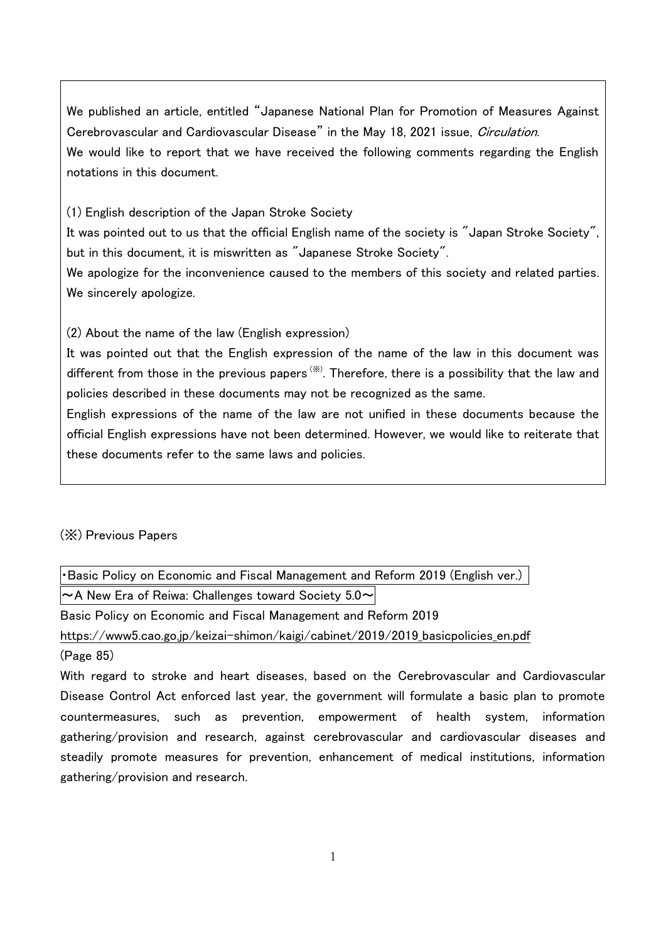We published an article, entitled "Japanese National Plan for Promotion of Measures Against Cerebrovascular and Cardiovascular Disease" in the May 18, 2021 issue, Circulation. We would like to report that we have received the following comments regarding the English notations in this document.

(1) English description of the Japan Stroke Society

It was pointed out to us that the official English name of the society is "Japan Stroke Society", but in this document, it is miswritten as "Japanese Stroke Society".

We apologize for the inconvenience caused to the members of this society and related parties. We sincerely apologize.

(2) About the name of the law (English expression)

It was pointed out that the English expression of the name of the law in this document was different from those in the previous papers  $\stackrel{(x)}{\sim}$ . Therefore, there is a possibility that the law and policies described in these documents may not be recognized as the same.

English expressions of the name of the law are not unified in these documents because the official English expressions have not been determined. However, we would like to reiterate that these documents refer to the same laws and policies.

(※) Previous Papers

・Basic Policy on Economic and Fiscal Management and Reform 2019 (English ver.)  $\sim$  A New Era of Reiwa: Challenges toward Society 5.0 $\sim$ 

Basic Policy on Economic and Fiscal Management and Reform 2019

[https://www5.cao.go.jp/keizai-shimon/kaigi/cabinet/2019/2019\\_basicpolicies\\_en.pdf](https://www5.cao.go.jp/keizai-shimon/kaigi/cabinet/2019/2019_basicpolicies_en.pdf)

(Page 85)

With regard to stroke and heart diseases, based on the Cerebrovascular and Cardiovascular Disease Control Act enforced last year, the government will formulate a basic plan to promote countermeasures, such as prevention, empowerment of health system, information gathering/provision and research, against cerebrovascular and cardiovascular diseases and steadily promote measures for prevention, enhancement of medical institutions, information gathering/provision and research.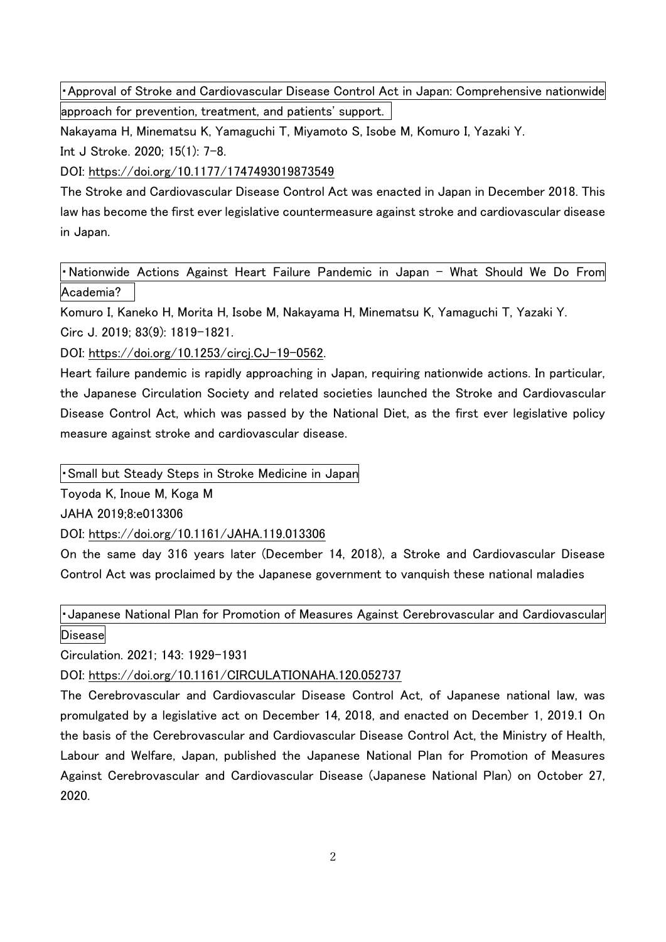・Approval of Stroke and Cardiovascular Disease Control Act in Japan: Comprehensive nationwide approach for prevention, treatment, and patients' support.

Nakayama H, Minematsu K, Yamaguchi T, Miyamoto S, Isobe M, Komuro I, Yazaki Y.

Int J Stroke. 2020; 15(1): 7-8.

DOI:<https://doi.org/10.1177/1747493019873549>

The Stroke and Cardiovascular Disease Control Act was enacted in Japan in December 2018. This law has become the first ever legislative countermeasure against stroke and cardiovascular disease in Japan.

Nationwide Actions Against Heart Failure Pandemic in Japan - What Should We Do From Academia?

Komuro I, Kaneko H, Morita H, Isobe M, Nakayama H, Minematsu K, Yamaguchi T, Yazaki Y. Circ J. 2019; 83(9): 1819-1821.

DOI: [https://doi.org/10.1253/circj.CJ-19-0562.](https://doi.org/10.1253/circj.CJ-19-0562)

Heart failure pandemic is rapidly approaching in Japan, requiring nationwide actions. In particular, the Japanese Circulation Society and related societies launched the Stroke and Cardiovascular Disease Control Act, which was passed by the National Diet, as the first ever legislative policy measure against stroke and cardiovascular disease.

・Small but Steady Steps in Stroke Medicine in Japan

Toyoda K, Inoue M, Koga M

JAHA 2019;8:e013306

DOI:<https://doi.org/10.1161/JAHA.119.013306>

On the same day 316 years later (December 14, 2018), a Stroke and Cardiovascular Disease Control Act was proclaimed by the Japanese government to vanquish these national maladies

・Japanese National Plan for Promotion of Measures Against Cerebrovascular and Cardiovascular **Disease** 

Circulation. 2021; 143: 1929-1931

DOI:<https://doi.org/10.1161/CIRCULATIONAHA.120.052737>

The Cerebrovascular and Cardiovascular Disease Control Act, of Japanese national law, was promulgated by a legislative act on December 14, 2018, and enacted on December 1, 2019.1 On the basis of the Cerebrovascular and Cardiovascular Disease Control Act, the Ministry of Health, Labour and Welfare, Japan, published the Japanese National Plan for Promotion of Measures Against Cerebrovascular and Cardiovascular Disease (Japanese National Plan) on October 27, 2020.